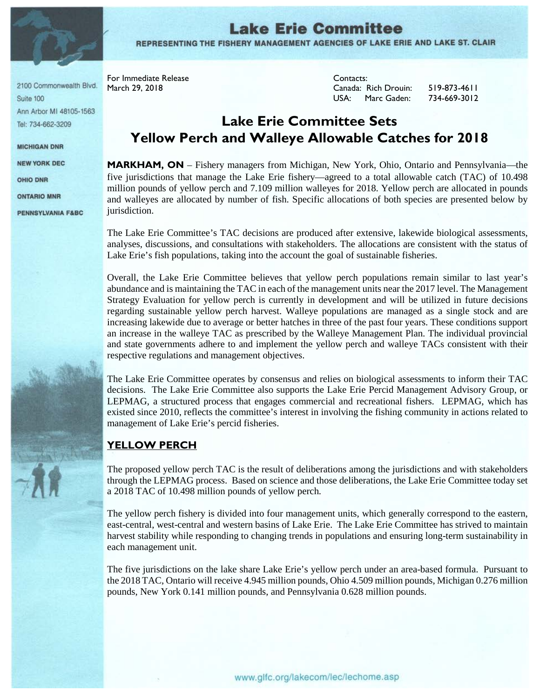

**Lake Erie Committee** REPRESENTING THE FISHERY MANAGEMENT AGENCIES OF LAKE ERIE AND LAKE ST. CLAIR

2100 Commonwealth Blvd. Suite 100 Ann Arbor MI 48105-1563 Tel: 734-662-3209

**MICHIGAN DNR** 

**NEW YORK DEC** 

**OHIO DNR** 

**ONTARIO MNR** 

**PENNSYLVANIA F&BC** 

For Immediate Release **Contacts:** 

March 29, 2018 Canada: Rich Drouin: 519-873-4611 USA: Marc Gaden: 734-669-3012

# **Lake Erie Committee Sets Yellow Perch and Walleye Allowable Catches for 2018**

**MARKHAM, ON** – Fishery managers from Michigan, New York, Ohio, Ontario and Pennsylvania—the five jurisdictions that manage the Lake Erie fishery—agreed to a total allowable catch (TAC) of 10.498 million pounds of yellow perch and 7.109 million walleyes for 2018. Yellow perch are allocated in pounds and walleyes are allocated by number of fish. Specific allocations of both species are presented below by jurisdiction.

The Lake Erie Committee's TAC decisions are produced after extensive, lakewide biological assessments, analyses, discussions, and consultations with stakeholders. The allocations are consistent with the status of Lake Erie's fish populations, taking into the account the goal of sustainable fisheries.

Overall, the Lake Erie Committee believes that yellow perch populations remain similar to last year's abundance and is maintaining the TAC in each of the management units near the 2017 level. The Management Strategy Evaluation for yellow perch is currently in development and will be utilized in future decisions regarding sustainable yellow perch harvest. Walleye populations are managed as a single stock and are increasing lakewide due to average or better hatches in three of the past four years. These conditions support an increase in the walleye TAC as prescribed by the Walleye Management Plan. The individual provincial and state governments adhere to and implement the yellow perch and walleye TACs consistent with their respective regulations and management objectives.

The Lake Erie Committee operates by consensus and relies on biological assessments to inform their TAC decisions. The Lake Erie Committee also supports the Lake Erie Percid Management Advisory Group, or LEPMAG, a structured process that engages commercial and recreational fishers. LEPMAG, which has existed since 2010, reflects the committee's interest in involving the fishing community in actions related to management of Lake Erie's percid fisheries.

# **YELLOW PERCH**

The proposed yellow perch TAC is the result of deliberations among the jurisdictions and with stakeholders through the LEPMAG process. Based on science and those deliberations, the Lake Erie Committee today set a 2018 TAC of 10.498 million pounds of yellow perch.

The yellow perch fishery is divided into four management units, which generally correspond to the eastern, east-central, west-central and western basins of Lake Erie. The Lake Erie Committee has strived to maintain harvest stability while responding to changing trends in populations and ensuring long-term sustainability in each management unit.

The five jurisdictions on the lake share Lake Erie's yellow perch under an area-based formula. Pursuant to the 2018 TAC, Ontario will receive 4.945 million pounds, Ohio 4.509 million pounds, Michigan 0.276 million pounds, New York 0.141 million pounds, and Pennsylvania 0.628 million pounds.